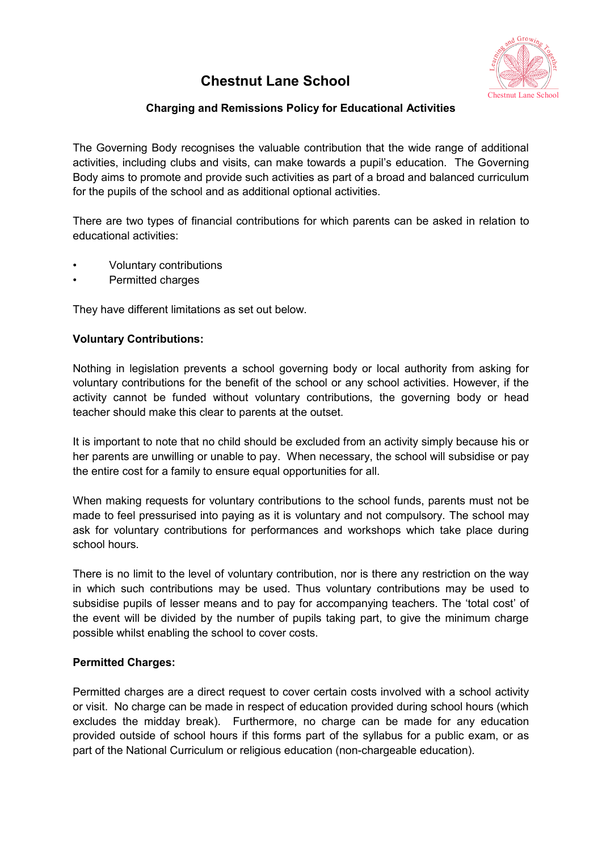# **Chestnut Lane School**



## **Charging and Remissions Policy for Educational Activities**

The Governing Body recognises the valuable contribution that the wide range of additional activities, including clubs and visits, can make towards a pupil's education. The Governing Body aims to promote and provide such activities as part of a broad and balanced curriculum for the pupils of the school and as additional optional activities.

There are two types of financial contributions for which parents can be asked in relation to educational activities:

- Voluntary contributions
- Permitted charges

They have different limitations as set out below.

#### **Voluntary Contributions:**

Nothing in legislation prevents a school governing body or local authority from asking for voluntary contributions for the benefit of the school or any school activities. However, if the activity cannot be funded without voluntary contributions, the governing body or head teacher should make this clear to parents at the outset.

It is important to note that no child should be excluded from an activity simply because his or her parents are unwilling or unable to pay. When necessary, the school will subsidise or pay the entire cost for a family to ensure equal opportunities for all.

When making requests for voluntary contributions to the school funds, parents must not be made to feel pressurised into paying as it is voluntary and not compulsory. The school may ask for voluntary contributions for performances and workshops which take place during school hours.

There is no limit to the level of voluntary contribution, nor is there any restriction on the way in which such contributions may be used. Thus voluntary contributions may be used to subsidise pupils of lesser means and to pay for accompanying teachers. The 'total cost' of the event will be divided by the number of pupils taking part, to give the minimum charge possible whilst enabling the school to cover costs.

#### **Permitted Charges:**

Permitted charges are a direct request to cover certain costs involved with a school activity or visit. No charge can be made in respect of education provided during school hours (which excludes the midday break). Furthermore, no charge can be made for any education provided outside of school hours if this forms part of the syllabus for a public exam, or as part of the National Curriculum or religious education (non-chargeable education).